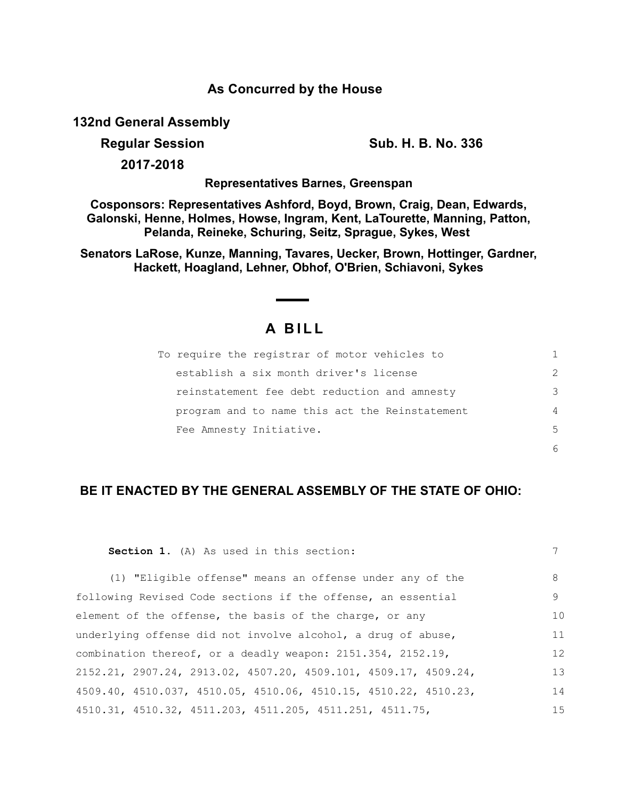## **As Concurred by the House**

**132nd General Assembly**

**Regular Session Sub. H. B. No. 336**

**2017-2018**

**Representatives Barnes, Greenspan**

**Cosponsors: Representatives Ashford, Boyd, Brown, Craig, Dean, Edwards, Galonski, Henne, Holmes, Howse, Ingram, Kent, LaTourette, Manning, Patton, Pelanda, Reineke, Schuring, Seitz, Sprague, Sykes, West** 

**Senators LaRose, Kunze, Manning, Tavares, Uecker, Brown, Hottinger, Gardner, Hackett, Hoagland, Lehner, Obhof, O'Brien, Schiavoni, Sykes**

## **A BILL**

| To require the registrar of motor vehicles to  |               |
|------------------------------------------------|---------------|
| establish a six month driver's license         | $\mathcal{P}$ |
| reinstatement fee debt reduction and amnesty   | 3             |
| program and to name this act the Reinstatement | 4             |
| Fee Amnesty Initiative.                        | .5            |
|                                                |               |

## **BE IT ENACTED BY THE GENERAL ASSEMBLY OF THE STATE OF OHIO:**

| Section 1. (A) As used in this section:                           | 7   |
|-------------------------------------------------------------------|-----|
| (1) "Eligible offense" means an offense under any of the          | 8   |
| following Revised Code sections if the offense, an essential      | 9   |
| element of the offense, the basis of the charge, or any           | 10  |
| underlying offense did not involve alcohol, a drug of abuse,      | 11  |
| combination thereof, or a deadly weapon: 2151.354, 2152.19,       | 12  |
| $2152.21, 2907.24, 2913.02, 4507.20, 4509.101, 4509.17, 4509.24,$ | 13  |
| 4509.40, 4510.037, 4510.05, 4510.06, 4510.15, 4510.22, 4510.23,   | 14  |
| 4510.31, 4510.32, 4511.203, 4511.205, 4511.251, 4511.75,          | 1.5 |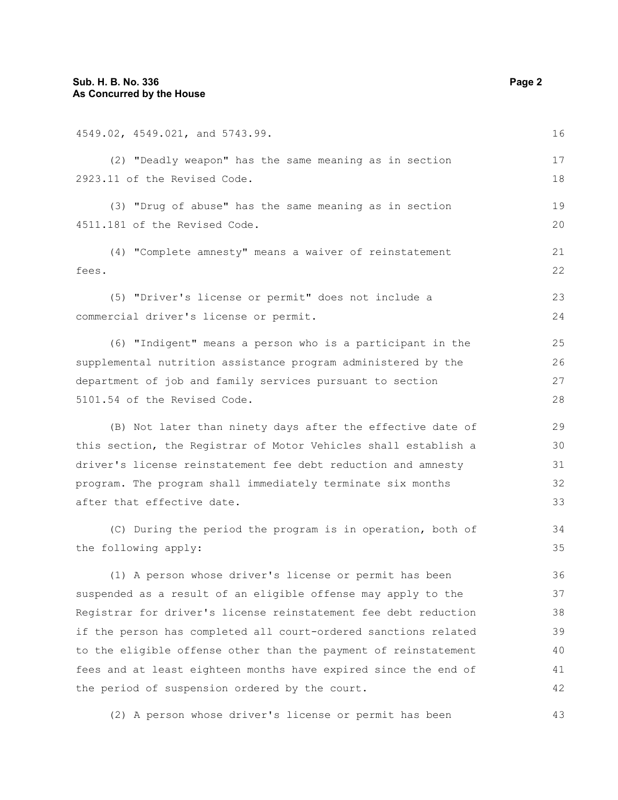4549.02, 4549.021, and 5743.99. (2) "Deadly weapon" has the same meaning as in section 2923.11 of the Revised Code. (3) "Drug of abuse" has the same meaning as in section 4511.181 of the Revised Code. (4) "Complete amnesty" means a waiver of reinstatement fees. (5) "Driver's license or permit" does not include a commercial driver's license or permit. (6) "Indigent" means a person who is a participant in the supplemental nutrition assistance program administered by the department of job and family services pursuant to section 5101.54 of the Revised Code. (B) Not later than ninety days after the effective date of this section, the Registrar of Motor Vehicles shall establish a driver's license reinstatement fee debt reduction and amnesty program. The program shall immediately terminate six months after that effective date. (C) During the period the program is in operation, both of the following apply: (1) A person whose driver's license or permit has been suspended as a result of an eligible offense may apply to the Registrar for driver's license reinstatement fee debt reduction if the person has completed all court-ordered sanctions related 16 17 18 19  $20$ 21 22 23 24 25 26 27 28 29 30 31 32 33 34 35 36 37 38 39

to the eligible offense other than the payment of reinstatement fees and at least eighteen months have expired since the end of the period of suspension ordered by the court. 40 41 42

(2) A person whose driver's license or permit has been

43